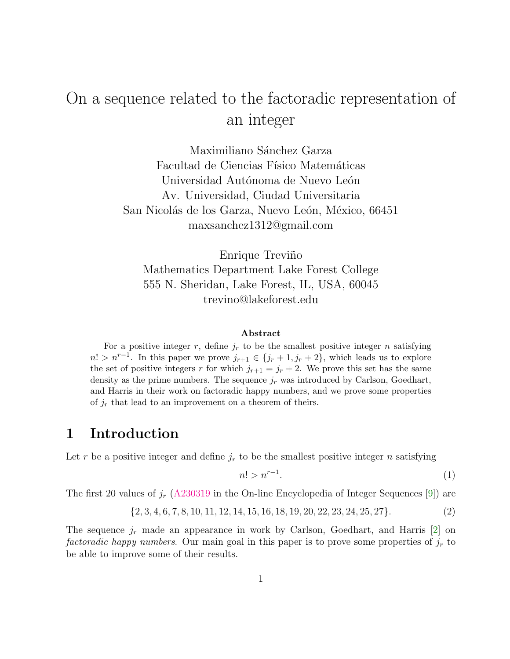# On a sequence related to the factoradic representation of an integer

Maximiliano Sánchez Garza Facultad de Ciencias Físico Matemáticas Universidad Autónoma de Nuevo León Av. Universidad, Ciudad Universitaria San Nicolás de los Garza, Nuevo León, México, 66451 maxsanchez1312@gmail.com

Enrique Treviño Mathematics Department Lake Forest College 555 N. Sheridan, Lake Forest, IL, USA, 60045 trevino@lakeforest.edu

#### Abstract

For a positive integer r, define  $j_r$  to be the smallest positive integer n satisfying  $n! > n^{r-1}$ . In this paper we prove  $j_{r+1} \in \{j_r + 1, j_r + 2\}$ , which leads us to explore the set of positive integers r for which  $j_{r+1} = j_r + 2$ . We prove this set has the same density as the prime numbers. The sequence  $j_r$  was introduced by Carlson, Goedhart, and Harris in their work on factoradic happy numbers, and we prove some properties of  $j_r$  that lead to an improvement on a theorem of theirs.

#### 1 Introduction

Let r be a positive integer and define  $j_r$  to be the smallest positive integer n satisfying

<span id="page-0-0"></span>
$$
n! > n^{r-1}.\tag{1}
$$

The first 20 values of  $j_r$   $(\underline{A230319}$  in the On-line Encyclopedia of Integer Sequences [\[9\]](#page-11-0)) are

<span id="page-0-1"></span>
$$
\{2, 3, 4, 6, 7, 8, 10, 11, 12, 14, 15, 16, 18, 19, 20, 22, 23, 24, 25, 27\}.
$$
 (2)

The sequence  $j_r$  made an appearance in work by Carlson, Goedhart, and Harris [\[2\]](#page-11-1) on factoradic happy numbers. Our main goal in this paper is to prove some properties of  $j_r$  to be able to improve some of their results.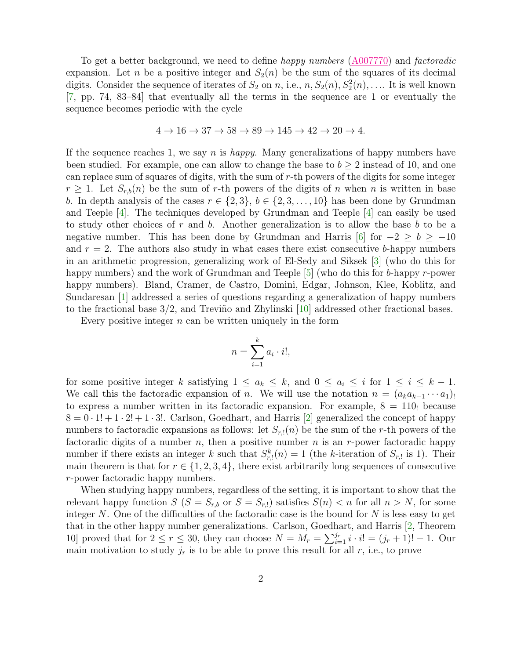To get a better background, we need to define happy numbers [\(A007770\)](https://oeis.org/A007770) and factoradic expansion. Let n be a positive integer and  $S_2(n)$  be the sum of the squares of its decimal digits. Consider the sequence of iterates of  $S_2$  on n, i.e.,  $n, S_2(n), S_2^2(n), \ldots$  It is well known [\[7,](#page-11-2) pp. 74, 83–84] that eventually all the terms in the sequence are 1 or eventually the sequence becomes periodic with the cycle

$$
4 \rightarrow 16 \rightarrow 37 \rightarrow 58 \rightarrow 89 \rightarrow 145 \rightarrow 42 \rightarrow 20 \rightarrow 4.
$$

If the sequence reaches 1, we say n is happy. Many generalizations of happy numbers have been studied. For example, one can allow to change the base to  $b \geq 2$  instead of 10, and one can replace sum of squares of digits, with the sum of r-th powers of the digits for some integer  $r \geq 1$ . Let  $S_{r,b}(n)$  be the sum of r-th powers of the digits of n when n is written in base b. In depth analysis of the cases  $r \in \{2,3\}, b \in \{2,3,\ldots,10\}$  has been done by Grundman and Teeple [\[4\]](#page-11-3). The techniques developed by Grundman and Teeple [\[4\]](#page-11-3) can easily be used to study other choices of r and b. Another generalization is to allow the base b to be a negative number. This has been done by Grundman and Harris [\[6\]](#page-11-4) for  $-2 \ge b \ge -10$ and  $r = 2$ . The authors also study in what cases there exist consecutive b-happy numbers in an arithmetic progression, generalizing work of El-Sedy and Siksek [\[3\]](#page-11-5) (who do this for happy numbers) and the work of Grundman and Teeple [\[5\]](#page-11-6) (who do this for b-happy r-power happy numbers). Bland, Cramer, de Castro, Domini, Edgar, Johnson, Klee, Koblitz, and Sundaresan [\[1\]](#page-11-7) addressed a series of questions regarding a generalization of happy numbers to the fractional base  $3/2$ , and Treviño and Zhylinski [\[10\]](#page-11-8) addressed other fractional bases.

Every positive integer  $n$  can be written uniquely in the form

$$
n = \sum_{i=1}^{k} a_i \cdot i!,
$$

for some positive integer k satisfying  $1 \le a_k \le k$ , and  $0 \le a_i \le i$  for  $1 \le i \le k - 1$ . We call this the factoradic expansion of n. We will use the notation  $n = (a_k a_{k-1} \cdots a_1)$ ! to express a number written in its factoradic expansion. For example,  $8 = 110$  because  $8 = 0 \cdot 1! + 1 \cdot 2! + 1 \cdot 3!$ . Carlson, Goedhart, and Harris [\[2\]](#page-11-1) generalized the concept of happy numbers to factoradic expansions as follows: let  $S_{r,1}(n)$  be the sum of the r-th powers of the factoradic digits of a number n, then a positive number n is an r-power factoradic happy number if there exists an integer k such that  $S_{r,1}^k(n) = 1$  (the k-iteration of  $S_{r,1}$  is 1). Their main theorem is that for  $r \in \{1, 2, 3, 4\}$ , there exist arbitrarily long sequences of consecutive r-power factoradic happy numbers.

When studying happy numbers, regardless of the setting, it is important to show that the relevant happy function  $S(S = S_{r,b}$  or  $S = S_{r,l}$ ) satisfies  $S(n) < n$  for all  $n > N$ , for some integer N. One of the difficulties of the factoradic case is the bound for  $N$  is less easy to get that in the other happy number generalizations. Carlson, Goedhart, and Harris [\[2,](#page-11-1) Theorem 10] proved that for  $2 \le r \le 30$ , they can choose  $N = M_r = \sum_{i=1}^{j_r} i \cdot i! = (j_r + 1)! - 1$ . Our main motivation to study  $j_r$  is to be able to prove this result for all r, i.e., to prove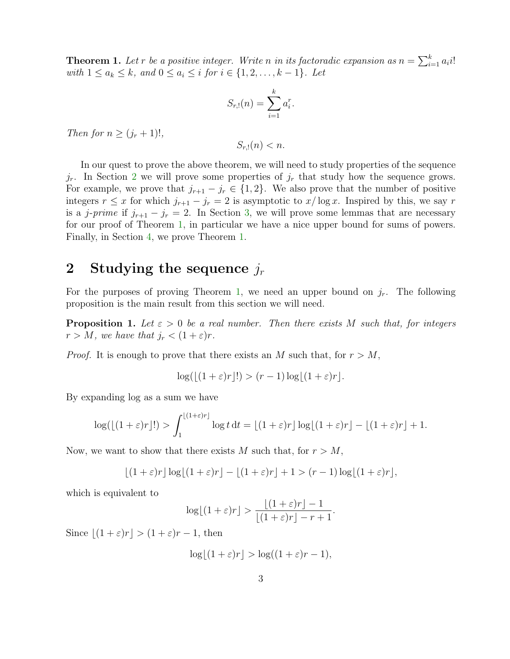<span id="page-2-1"></span>**Theorem 1.** Let r be a positive integer. Write n in its factoradic expansion as  $n = \sum_{i=1}^{k} a_i i!$ *with*  $1 \le a_k \le k$ , and  $0 \le a_i \le i$  for  $i \in \{1, 2, ..., k-1\}$ . Let

$$
S_{r,!}(n) = \sum_{i=1}^{k} a_i^r.
$$

Then for  $n \geq (j_r + 1)!$ ,

 $S_{r,1}(n) < n$ .

In our quest to prove the above theorem, we will need to study properties of the sequence  $j_r$ . In Section [2](#page-2-0) we will prove some properties of  $j_r$  that study how the sequence grows. For example, we prove that  $j_{r+1} - j_r \in \{1,2\}$ . We also prove that the number of positive integers  $r \leq x$  for which  $j_{r+1} - j_r = 2$  is asymptotic to  $x/\log x$ . Inspired by this, we say r is a j-prime if  $j_{r+1} - j_r = 2$ . In Section [3,](#page-6-0) we will prove some lemmas that are necessary for our proof of Theorem [1,](#page-2-1) in particular we have a nice upper bound for sums of powers. Finally, in Section [4,](#page-9-0) we prove Theorem [1.](#page-2-1)

#### <span id="page-2-0"></span>2 Studying the sequence  $j_r$

For the purposes of proving Theorem [1,](#page-2-1) we need an upper bound on  $j_r$ . The following proposition is the main result from this section we will need.

<span id="page-2-2"></span>**Proposition 1.** Let  $\varepsilon > 0$  be a real number. Then there exists M such that, for integers  $r > M$ , we have that  $j_r < (1 + \varepsilon)r$ .

*Proof.* It is enough to prove that there exists an M such that, for  $r > M$ ,

$$
\log(\lfloor(1+\varepsilon)r\rfloor!) > (r-1)\log\lfloor(1+\varepsilon)r\rfloor.
$$

By expanding log as a sum we have

$$
\log(\lfloor(1+\varepsilon)r\rfloor!) > \int_1^{\lfloor(1+\varepsilon)r\rfloor} \log t \, \mathrm{d}t = \lfloor(1+\varepsilon)r\rfloor \log\lfloor(1+\varepsilon)r\rfloor - \lfloor(1+\varepsilon)r\rfloor + 1.
$$

Now, we want to show that there exists M such that, for  $r > M$ ,

$$
\lfloor (1+\varepsilon)r \rfloor \log \lfloor (1+\varepsilon)r \rfloor - \lfloor (1+\varepsilon)r \rfloor + 1 > (r-1)\log \lfloor (1+\varepsilon)r \rfloor,
$$

which is equivalent to

$$
\log\lfloor(1+\varepsilon)r\rfloor > \frac{\lfloor(1+\varepsilon)r\rfloor - 1}{\lfloor(1+\varepsilon)r\rfloor - r + 1}.
$$

Since  $|(1 + \varepsilon)r| > (1 + \varepsilon)r - 1$ , then

$$
\log\lfloor(1+\varepsilon)r\rfloor > \log\left((1+\varepsilon)r - 1\right),\,
$$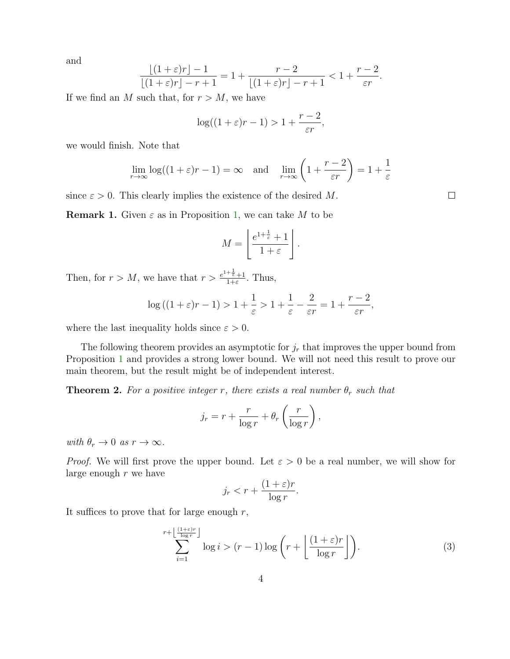and

$$
\frac{\lfloor (1+\varepsilon)r \rfloor -1}{\lfloor (1+\varepsilon)r \rfloor -r+1} = 1 + \frac{r-2}{\lfloor (1+\varepsilon)r \rfloor -r+1} < 1 + \frac{r-2}{\varepsilon r}.
$$

If we find an M such that, for  $r > M$ , we have

$$
\log((1+\varepsilon)r-1) > 1 + \frac{r-2}{\varepsilon r},
$$

we would finish. Note that

$$
\lim_{r \to \infty} \log((1+\varepsilon)r - 1) = \infty \quad \text{and} \quad \lim_{r \to \infty} \left(1 + \frac{r-2}{\varepsilon r}\right) = 1 + \frac{1}{\varepsilon}
$$

since  $\varepsilon > 0$ . This clearly implies the existence of the desired M.

<span id="page-3-2"></span>**Remark 1.** Given  $\varepsilon$  as in Proposition [1,](#page-2-2) we can take M to be

$$
M = \left\lfloor \frac{e^{1 + \frac{1}{\varepsilon}} + 1}{1 + \varepsilon} \right\rfloor
$$

.

Then, for  $r > M$ , we have that  $r > \frac{e^{1+\frac{1}{\epsilon}}+1}{1+\epsilon}$  $\frac{\tau_{\bar{\varepsilon}}+1}{1+\varepsilon}$ . Thus,

$$
\log((1+\varepsilon)r-1) > 1+\frac{1}{\varepsilon} > 1+\frac{1}{\varepsilon}-\frac{2}{\varepsilon r} = 1+\frac{r-2}{\varepsilon r},
$$

where the last inequality holds since  $\varepsilon > 0$ .

The following theorem provides an asymptotic for  $j_r$  that improves the upper bound from Proposition [1](#page-2-2) and provides a strong lower bound. We will not need this result to prove our main theorem, but the result might be of independent interest.

<span id="page-3-1"></span>**Theorem 2.** For a positive integer r, there exists a real number  $\theta_r$  such that

$$
j_r = r + \frac{r}{\log r} + \theta_r \left(\frac{r}{\log r}\right),\,
$$

with  $\theta_r \to 0$  as  $r \to \infty$ .

*Proof.* We will first prove the upper bound. Let  $\varepsilon > 0$  be a real number, we will show for large enough r we have

$$
j_r < r + \frac{(1+\varepsilon)r}{\log r}.
$$

It suffices to prove that for large enough  $r$ ,

<span id="page-3-0"></span>
$$
\sum_{i=1}^{r+\left\lfloor\frac{(1+\varepsilon)r}{\log r}\right\rfloor} \log i > (r-1)\log\left(r+\left\lfloor\frac{(1+\varepsilon)r}{\log r}\right\rfloor\right).
$$
 (3)

 $\Box$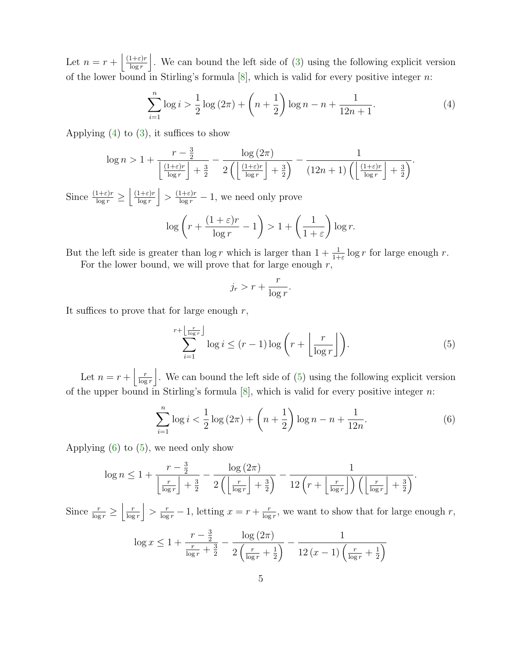Let  $n = r + \frac{(1+\varepsilon)r}{\log r}$  $\frac{1+\varepsilon)r}{\log r}$ . We can bound the left side of [\(3\)](#page-3-0) using the following explicit version of the lower bound in Stirling's formula  $[8]$ , which is valid for every positive integer n:

<span id="page-4-0"></span>
$$
\sum_{i=1}^{n} \log i > \frac{1}{2} \log (2\pi) + \left(n + \frac{1}{2}\right) \log n - n + \frac{1}{12n + 1}.\tag{4}
$$

Applying  $(4)$  to  $(3)$ , it suffices to show

$$
\log n > 1 + \frac{r - \frac{3}{2}}{\left\lfloor \frac{(1+\varepsilon)r}{\log r} \right\rfloor + \frac{3}{2}} - \frac{\log \left( 2\pi \right)}{2\left( \left\lfloor \frac{(1+\varepsilon)r}{\log r} \right\rfloor + \frac{3}{2} \right)} - \frac{1}{(12n+1)\left( \left\lfloor \frac{(1+\varepsilon)r}{\log r} \right\rfloor + \frac{3}{2} \right)}.
$$

Since  $\frac{(1+\varepsilon)r}{\log r} \geq \left| \frac{(1+\varepsilon)r}{\log r} \right|$  $\frac{1+\varepsilon)r}{\log r}$   $>$   $\frac{(1+\varepsilon)r}{\log r}$  - 1, we need only prove

$$
\log\left(r + \frac{(1+\varepsilon)r}{\log r} - 1\right) > 1 + \left(\frac{1}{1+\varepsilon}\right)\log r.
$$

But the left side is greater than  $\log r$  which is larger than  $1 + \frac{1}{1+\varepsilon} \log r$  for large enough r.

For the lower bound, we will prove that for large enough  $r$ ,

$$
j_r > r + \frac{r}{\log r}.
$$

It suffices to prove that for large enough  $r$ ,

<span id="page-4-1"></span>
$$
\sum_{i=1}^{r+\left\lfloor \frac{r}{\log r} \right\rfloor} \log i \le (r-1) \log \left( r + \left\lfloor \frac{r}{\log r} \right\rfloor \right). \tag{5}
$$

Let  $n = r + \left| \frac{r}{\log r} \right|$  $\frac{r}{\log r}$ . We can bound the left side of [\(5\)](#page-4-1) using the following explicit version of the upper bound in Stirling's formula  $[8]$ , which is valid for every positive integer *n*:

<span id="page-4-2"></span>
$$
\sum_{i=1}^{n} \log i < \frac{1}{2} \log \left( 2\pi \right) + \left( n + \frac{1}{2} \right) \log n - n + \frac{1}{12n}.\tag{6}
$$

Applying  $(6)$  to  $(5)$ , we need only show

$$
\log n \le 1 + \frac{r - \frac{3}{2}}{\left\lfloor \frac{r}{\log r} \right\rfloor + \frac{3}{2}} - \frac{\log(2\pi)}{2\left(\left\lfloor \frac{r}{\log r} \right\rfloor + \frac{3}{2}\right)} - \frac{1}{12\left(r + \left\lfloor \frac{r}{\log r} \right\rfloor\right)\left(\left\lfloor \frac{r}{\log r} \right\rfloor + \frac{3}{2}\right)}.
$$

Since  $\frac{r}{\log r} \ge \left| \frac{r}{\log r} \right|$  $\frac{r}{\log r}$  >  $\frac{r}{\log r}$  - 1, letting  $x = r + \frac{r}{\log r}$  $\frac{r}{\log r}$ , we want to show that for large enough r,

$$
\log x \le 1 + \frac{r - \frac{3}{2}}{\frac{r}{\log r} + \frac{3}{2}} - \frac{\log(2\pi)}{2\left(\frac{r}{\log r} + \frac{1}{2}\right)} - \frac{1}{12(x - 1)\left(\frac{r}{\log r} + \frac{1}{2}\right)}
$$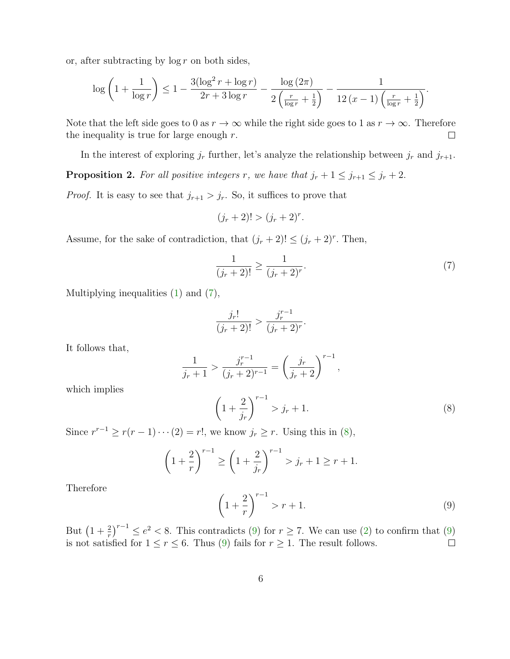or, after subtracting by  $\log r$  on both sides,

$$
\log\left(1+\frac{1}{\log r}\right) \le 1 - \frac{3(\log^2 r + \log r)}{2r + 3\log r} - \frac{\log\left(2\pi\right)}{2\left(\frac{r}{\log r} + \frac{1}{2}\right)} - \frac{1}{12\left(x-1\right)\left(\frac{r}{\log r} + \frac{1}{2}\right)}.
$$

Note that the left side goes to 0 as  $r \to \infty$  while the right side goes to 1 as  $r \to \infty$ . Therefore the inequality is true for large enough  $r$ .  $\Box$ 

In the interest of exploring  $j_r$  further, let's analyze the relationship between  $j_r$  and  $j_{r+1}$ .

<span id="page-5-3"></span>**Proposition 2.** For all positive integers r, we have that  $j_r + 1 \leq j_{r+1} \leq j_r + 2$ .

*Proof.* It is easy to see that  $j_{r+1} > j_r$ . So, it suffices to prove that

$$
(j_r + 2)! > (j_r + 2)^r.
$$

Assume, for the sake of contradiction, that  $(j_r + 2)! \leq (j_r + 2)^r$ . Then,

<span id="page-5-0"></span>
$$
\frac{1}{(j_r+2)!} \ge \frac{1}{(j_r+2)^r}.\tag{7}
$$

Multiplying inequalities [\(1\)](#page-0-0) and [\(7\)](#page-5-0),

$$
\frac{j_r!}{(j_r+2)!} > \frac{j_r^{r-1}}{(j_r+2)^r}.
$$

It follows that,

$$
\frac{1}{j_r+1} > \frac{j_r^{r-1}}{(j_r+2)^{r-1}} = \left(\frac{j_r}{j_r+2}\right)^{r-1},
$$

which implies

<span id="page-5-1"></span>
$$
\left(1 + \frac{2}{j_r}\right)^{r-1} > j_r + 1. \tag{8}
$$

Since  $r^{r-1} \ge r(r-1)\cdots(2) = r!$ , we know  $j_r \ge r$ . Using this in [\(8\)](#page-5-1),

$$
\left(1 + \frac{2}{r}\right)^{r-1} \ge \left(1 + \frac{2}{j_r}\right)^{r-1} > j_r + 1 \ge r + 1.
$$

Therefore

<span id="page-5-2"></span>
$$
\left(1 + \frac{2}{r}\right)^{r-1} > r + 1. \tag{9}
$$

But  $\left(1+\frac{2}{r}\right)^{r-1} \leq e^2 < 8$ . This contradicts [\(9\)](#page-5-2) for  $r \geq 7$ . We can use [\(2\)](#page-0-1) to confirm that (9) is not satisfied for  $1 \le r \le 6$ . Thus [\(9\)](#page-5-2) fails for  $r \ge 1$ . The result follows.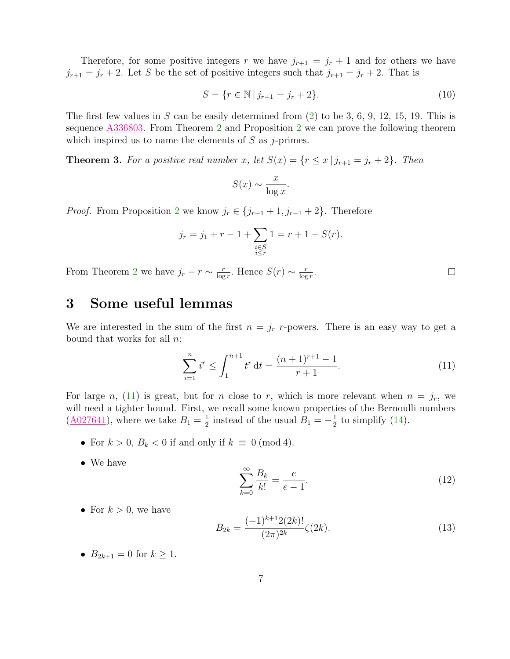Therefore, for some positive integers r we have  $j_{r+1} = j_r + 1$  and for others we have  $j_{r+1} = j_r + 2$ . Let S be the set of positive integers such that  $j_{r+1} = j_r + 2$ . That is

$$
S = \{ r \in \mathbb{N} \mid j_{r+1} = j_r + 2 \}. \tag{10}
$$

The first few values in  $S$  can be easily determined from  $(2)$  to be 3, 6, 9, 12, 15, 19. This is sequence [A336803.](https://oeis.org/A336803) From Theorem [2](#page-3-1) and Proposition [2](#page-5-3) we can prove the following theorem which inspired us to name the elements of  $S$  as j-primes.

**Theorem 3.** For a positive real number x, let  $S(x) = \{r \le x \mid j_{r+1} = j_r + 2\}$ . Then

$$
S(x) \sim \frac{x}{\log x}.
$$

*Proof.* From Proposition [2](#page-5-3) we know  $j_r \in \{j_{r-1}+1, j_{r-1}+2\}$ . Therefore

$$
j_r = j_1 + r - 1 + \sum_{\substack{i \in S \\ i \le r}} 1 = r + 1 + S(r).
$$

From Theorem [2](#page-3-1) we have  $j_r - r \sim \frac{r}{\log r}$  $\frac{r}{\log r}$ . Hence  $S(r) \sim \frac{r}{\log r}$  $\frac{r}{\log r}$ .

#### <span id="page-6-0"></span>3 Some useful lemmas

We are interested in the sum of the first  $n = j_r$  r-powers. There is an easy way to get a bound that works for all  $n$ :

<span id="page-6-1"></span>
$$
\sum_{i=1}^{n} i^{r} \le \int_{1}^{n+1} t^{r} dt = \frac{(n+1)^{r+1} - 1}{r+1}.
$$
\n(11)

For large n, [\(11\)](#page-6-1) is great, but for n close to r, which is more relevant when  $n = j_r$ , we will need a tighter bound. First, we recall some known properties of the Bernoulli numbers  $(\underline{A027641})$ , where we take  $B_1 = \frac{1}{2}$  $\frac{1}{2}$  instead of the usual  $B_1 = -\frac{1}{2}$  $\frac{1}{2}$  to simplify [\(14\)](#page-7-0).

- For  $k > 0$ ,  $B_k < 0$  if and only if  $k \equiv 0 \pmod{4}$ .
- We have

<span id="page-6-2"></span>
$$
\sum_{k=0}^{\infty} \frac{B_k}{k!} = \frac{e}{e-1}.
$$
\n(12)

 $\Box$ 

• For  $k > 0$ , we have

<span id="page-6-3"></span>
$$
B_{2k} = \frac{(-1)^{k+1} 2(2k)!}{(2\pi)^{2k}} \zeta(2k).
$$
 (13)

•  $B_{2k+1} = 0$  for  $k \ge 1$ .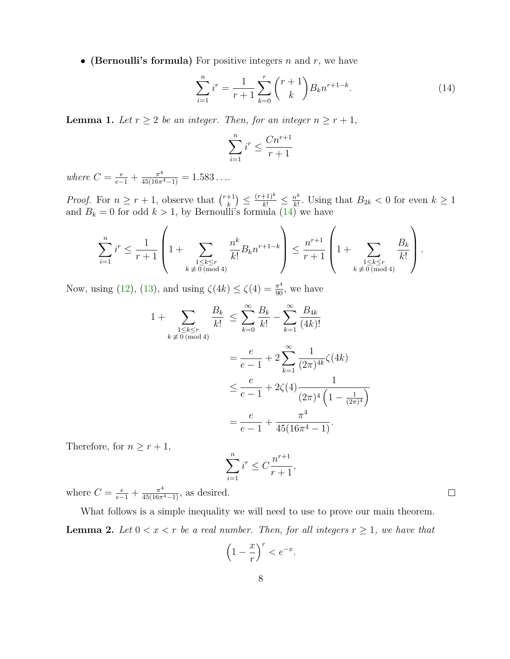• (Bernoulli's formula) For positive integers  $n$  and  $r$ , we have

<span id="page-7-0"></span>
$$
\sum_{i=1}^{n} i^{r} = \frac{1}{r+1} \sum_{k=0}^{r} {r+1 \choose k} B_{k} n^{r+1-k}.
$$
 (14)

<span id="page-7-2"></span>**Lemma 1.** Let  $r \geq 2$  be an integer. Then, for an integer  $n \geq r+1$ ,

$$
\sum_{i=1}^{n} i^r \le \frac{Cn^{r+1}}{r+1}
$$

where  $C = \frac{e}{e-1} + \frac{\pi^4}{45(16\pi^4 - 1)} = 1.583...$ 

*Proof.* For  $n \geq r+1$ , observe that  $\binom{r+1}{k}$  $\binom{+1}{k} \leq \frac{(r+1)^k}{k!} \leq \frac{n^k}{k!}$  $\frac{n^k}{k!}$ . Using that  $B_{2k} < 0$  for even  $k \geq 1$ and  $B_k = 0$  for odd  $k > 1$ , by Bernoulli's formula [\(14\)](#page-7-0) we have

$$
\sum_{i=1}^{n} i^{r} \leq \frac{1}{r+1} \left( 1 + \sum_{\substack{1 \leq k \leq r \\ k \not\equiv 0 \pmod{4}}} \frac{n^{k}}{k!} B_{k} n^{r+1-k} \right) \leq \frac{n^{r+1}}{r+1} \left( 1 + \sum_{\substack{1 \leq k \leq r \\ k \not\equiv 0 \pmod{4}}} \frac{B_{k}}{k!} \right).
$$

Now, using [\(12\)](#page-6-2), [\(13\)](#page-6-3), and using  $\zeta(4k) \le \zeta(4) = \frac{\pi^4}{90}$ , we have

$$
1 + \sum_{\substack{1 \le k \le r \\ k \neq 0 \pmod{4}}} \frac{B_k}{k!} \le \sum_{k=0}^{\infty} \frac{B_k}{k!} - \sum_{k=1}^{\infty} \frac{B_{4k}}{(4k)!}
$$
  
=  $\frac{e}{e-1} + 2 \sum_{k=1}^{\infty} \frac{1}{(2\pi)^{4k}} \zeta(4k)$   
 $\le \frac{e}{e-1} + 2\zeta(4) \frac{1}{(2\pi)^4 \left(1 - \frac{1}{(2\pi)^4}\right)}$   
=  $\frac{e}{e-1} + \frac{\pi^4}{45(16\pi^4 - 1)}$ .

Therefore, for  $n \geq r+1,$ 

$$
\sum_{i=1}^{n} i^{r} \le C \frac{n^{r+1}}{r+1},
$$

where  $C = \frac{e}{e-1} + \frac{\pi^4}{45(16\pi^4 - 1)}$ , as desired.

<span id="page-7-1"></span>What follows is a simple inequality we will need to use to prove our main theorem. **Lemma 2.** Let  $0 < x < r$  be a real number. Then, for all integers  $r \geq 1$ , we have that

$$
\left(1 - \frac{x}{r}\right)^r < e^{-x}.
$$

 $\Box$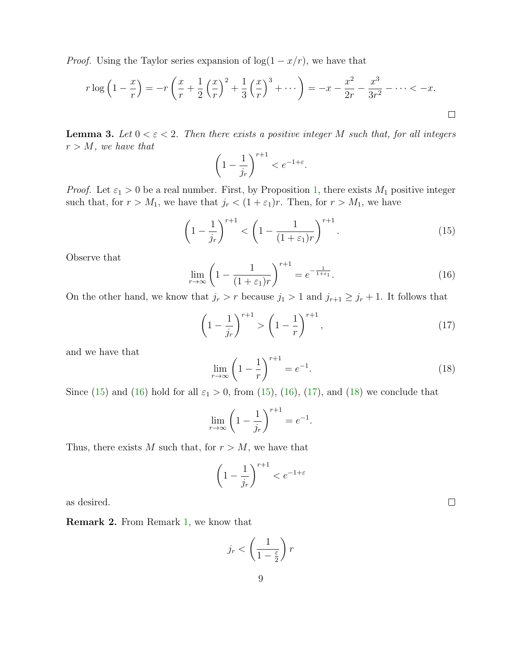*Proof.* Using the Taylor series expansion of  $\log(1 - x/r)$ , we have that

$$
r \log \left( 1 - \frac{x}{r} \right) = -r \left( \frac{x}{r} + \frac{1}{2} \left( \frac{x}{r} \right)^2 + \frac{1}{3} \left( \frac{x}{r} \right)^3 + \dots \right) = -x - \frac{x^2}{2r} - \frac{x^3}{3r^2} - \dots < -x.
$$

<span id="page-8-4"></span>**Lemma 3.** Let  $0 < \varepsilon < 2$ . Then there exists a positive integer M such that, for all integers  $r > M$ , we have that

$$
\left(1 - \frac{1}{j_r}\right)^{r+1} < e^{-1 + \varepsilon}.
$$

*Proof.* Let  $\varepsilon_1 > 0$  be a real number. First, by Proposition [1,](#page-2-2) there exists  $M_1$  positive integer such that, for  $r > M_1$ , we have that  $j_r < (1 + \varepsilon_1)r$ . Then, for  $r > M_1$ , we have

<span id="page-8-0"></span>
$$
\left(1 - \frac{1}{j_r}\right)^{r+1} < \left(1 - \frac{1}{(1 + \varepsilon_1)r}\right)^{r+1}.\tag{15}
$$

Observe that

<span id="page-8-1"></span>
$$
\lim_{r \to \infty} \left( 1 - \frac{1}{(1 + \varepsilon_1)r} \right)^{r+1} = e^{-\frac{1}{1 + \varepsilon_1}}.
$$
\n(16)

On the other hand, we know that  $j_r > r$  because  $j_1 > 1$  and  $j_{r+1} \geq j_r + 1$ . It follows that

<span id="page-8-2"></span>
$$
\left(1 - \frac{1}{j_r}\right)^{r+1} > \left(1 - \frac{1}{r}\right)^{r+1},\tag{17}
$$

and we have that

<span id="page-8-3"></span>
$$
\lim_{r \to \infty} \left( 1 - \frac{1}{r} \right)^{r+1} = e^{-1}.
$$
\n(18)

Since [\(15\)](#page-8-0) and [\(16\)](#page-8-1) hold for all  $\varepsilon_1 > 0$ , from (15), (16), [\(17\)](#page-8-2), and [\(18\)](#page-8-3) we conclude that

$$
\lim_{r \to \infty} \left( 1 - \frac{1}{j_r} \right)^{r+1} = e^{-1}.
$$

Thus, there exists M such that, for  $r > M$ , we have that

$$
\left(1 - \frac{1}{j_r}\right)^{r+1} < e^{-1+\varepsilon}
$$

as desired.

<span id="page-8-5"></span>Remark 2. From Remark [1,](#page-3-2) we know that

$$
j_r < \left(\frac{1}{1 - \frac{\varepsilon}{2}}\right)r
$$

 $\Box$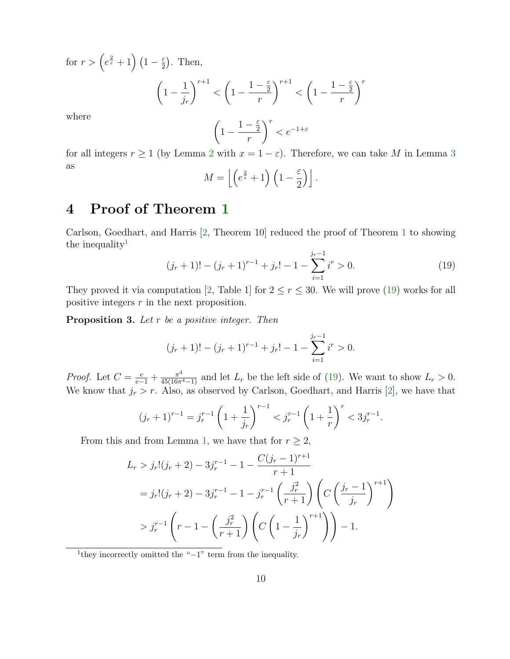for  $r > \left(e^{\frac{2}{\varepsilon}} + 1\right)\left(1 - \frac{\varepsilon}{2}\right)$  $\frac{\varepsilon}{2}$ ). Then,

$$
\left(1 - \frac{1}{j_r}\right)^{r+1} < \left(1 - \frac{1 - \frac{\varepsilon}{2}}{r}\right)^{r+1} < \left(1 - \frac{1 - \frac{\varepsilon}{2}}{r}\right)^r
$$

where

$$
\left(1 - \frac{1 - \frac{\varepsilon}{2}}{r}\right)^r < e^{-1 + \varepsilon}
$$

for all integers  $r \ge 1$  (by Lemma [2](#page-7-1) with  $x = 1 - \varepsilon$ ). Therefore, we can take M in Lemma [3](#page-8-4) as ε

$$
M = \left\lfloor \left( e^{\frac{2}{\varepsilon}} + 1 \right) \left( 1 - \frac{\varepsilon}{2} \right) \right\rfloor.
$$

## <span id="page-9-0"></span>4 Proof of Theorem [1](#page-2-1)

Carlson, Goedhart, and Harris [\[2,](#page-11-1) Theorem 10] reduced the proof of Theorem [1](#page-2-1) to showing the inequality<sup>[1](#page-9-1)</sup>

<span id="page-9-2"></span>
$$
(j_r + 1)! - (j_r + 1)^{r-1} + j_r! - 1 - \sum_{i=1}^{j_r - 1} i^r > 0.
$$
 (19)

They proved it via computation [\[2,](#page-11-1) Table 1] for  $2 \le r \le 30$ . We will prove [\(19\)](#page-9-2) works for all positive integers r in the next proposition.

**Proposition 3.** Let  $r$  be a positive integer. Then

$$
(j_r + 1)! - (j_r + 1)^{r-1} + j_r! - 1 - \sum_{i=1}^{j_r - 1} i^r > 0.
$$

*Proof.* Let  $C = \frac{e}{e-1} + \frac{\pi^4}{45(16\pi^4 - 1)}$  and let  $L_r$  be the left side of [\(19\)](#page-9-2). We want to show  $L_r > 0$ . We know that  $j_r > r$ . Also, as observed by Carlson, Goedhart, and Harris [\[2\]](#page-11-1), we have that

$$
(j_r+1)^{r-1} = j_r^{r-1} \left(1 + \frac{1}{j_r}\right)^{r-1} < j_r^{r-1} \left(1 + \frac{1}{r}\right)^r < 3j_r^{r-1}.
$$

From this and from Lemma [1,](#page-7-2) we have that for  $r \geq 2$ ,

$$
L_r > j_r! (j_r + 2) - 3j_r^{r-1} - 1 - \frac{C(j_r - 1)^{r+1}}{r+1}
$$
  
=  $j_r! (j_r + 2) - 3j_r^{r-1} - 1 - j_r^{r-1} \left(\frac{j_r^2}{r+1}\right) \left(C\left(\frac{j_r - 1}{j_r}\right)^{r+1}\right)$   
>  $j_r^{r-1} \left(r - 1 - \left(\frac{j_r^2}{r+1}\right) \left(C\left(1 - \frac{1}{j_r}\right)^{r+1}\right)\right) - 1.$ 

<span id="page-9-1"></span>1 they incorrectly omitted the "−1" term from the inequality.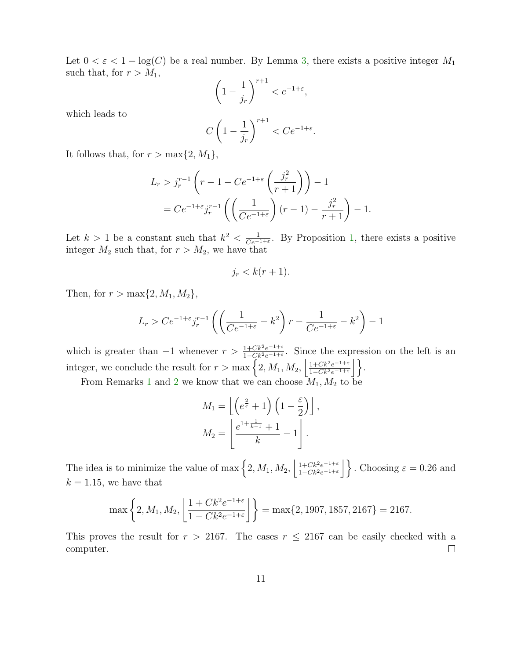Let  $0 < \varepsilon < 1 - \log(C)$  be a real number. By Lemma [3,](#page-8-4) there exists a positive integer  $M_1$ such that, for  $r > M_1$ ,

$$
\left(1 - \frac{1}{j_r}\right)^{r+1} < e^{-1 + \varepsilon},
$$

which leads to

$$
C\left(1-\frac{1}{j_r}\right)^{r+1} < Ce^{-1+\varepsilon}.
$$

It follows that, for  $r > \max\{2, M_1\}$ ,

$$
L_r > j_r^{r-1} \left( r - 1 - Ce^{-1+\varepsilon} \left( \frac{j_r^2}{r+1} \right) \right) - 1
$$
  
= 
$$
Ce^{-1+\varepsilon} j_r^{r-1} \left( \left( \frac{1}{Ce^{-1+\varepsilon}} \right) (r-1) - \frac{j_r^2}{r+1} \right) - 1.
$$

Let  $k > 1$  be a constant such that  $k^2 < \frac{1}{Ce^{-1}}$  $\frac{1}{Ce^{-1+\varepsilon}}$ . By Proposition [1,](#page-2-2) there exists a positive integer  $M_2$  such that, for  $r > M_2$ , we have that

$$
j_r < k(r+1).
$$

Then, for  $r > \max\{2, M_1, M_2\},\$ 

$$
L_r > Ce^{-1+\varepsilon} j_r^{r-1} \left( \left( \frac{1}{Ce^{-1+\varepsilon}} - k^2 \right) r - \frac{1}{Ce^{-1+\varepsilon}} - k^2 \right) - 1
$$

which is greater than  $-1$  whenever  $r > \frac{1+Ck^2e^{-1+\varepsilon}}{1-Ck^2e^{-1+\varepsilon}}$ . Since the expression on the left is an integer, we conclude the result for  $r > \max\left\{2, M_1, M_2, \left|\frac{1+Ck^2e^{-1+\varepsilon}}{1-Ck^2e^{-1+\varepsilon}}\right|\right\}$  $\frac{1+Ck^2e^{-1+\varepsilon}}{1-Ck^2e^{-1+\varepsilon}}\Big|\Big\}.$ 

From Remarks [1](#page-3-2) and [2](#page-8-5) we know that we can choose  $M_1, M_2$  to be

$$
M_1 = \left\lfloor \left( e^{\frac{2}{\varepsilon}} + 1 \right) \left( 1 - \frac{\varepsilon}{2} \right) \right\rfloor,
$$
  

$$
M_2 = \left\lfloor \frac{e^{1 + \frac{1}{k-1}} + 1}{k} - 1 \right\rfloor.
$$

The idea is to minimize the value of max  $\left\{2, M_1, M_2, \left|\frac{1+Ck^2e^{-1+\varepsilon}}{1-Ck^2e^{-1+\varepsilon}}\right|\right\}$  $\frac{1+CK^2e^{-1+\varepsilon}}{1-Ck^2e^{-1+\varepsilon}}\Big|\Big\}$ . Choosing  $\varepsilon = 0.26$  and  $k = 1.15$ , we have that

$$
\max\left\{2, M_1, M_2, \left\lfloor\frac{1 + Ck^2 e^{-1 + \varepsilon}}{1 - Ck^2 e^{-1 + \varepsilon}}\right\rfloor\right\} = \max\{2, 1907, 1857, 2167\} = 2167.
$$

This proves the result for  $r > 2167$ . The cases  $r \leq 2167$  can be easily checked with a computer.  $\Box$